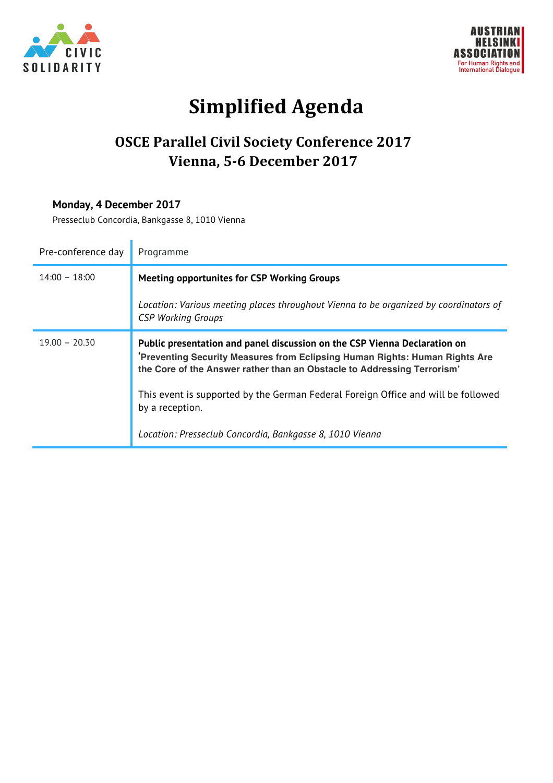



# **Simplified Agenda**

# **OSCE Parallel Civil Society Conference 2017 Vienna, 5-6 December 2017**

#### **Monday, 4 December 2017**

Presseclub Concordia, Bankgasse 8, 1010 Vienna

| Pre-conference day | Programme                                                                                                                                                                                                                          |
|--------------------|------------------------------------------------------------------------------------------------------------------------------------------------------------------------------------------------------------------------------------|
| $14:00 - 18:00$    | <b>Meeting opportunites for CSP Working Groups</b>                                                                                                                                                                                 |
|                    | Location: Various meeting places throughout Vienna to be organized by coordinators of<br><b>CSP Working Groups</b>                                                                                                                 |
| $19.00 - 20.30$    | Public presentation and panel discussion on the CSP Vienna Declaration on<br>Preventing Security Measures from Eclipsing Human Rights: Human Rights Are<br>the Core of the Answer rather than an Obstacle to Addressing Terrorism' |
|                    | This event is supported by the German Federal Foreign Office and will be followed<br>by a reception.                                                                                                                               |
|                    | Location: Presseclub Concordia, Bankgasse 8, 1010 Vienna                                                                                                                                                                           |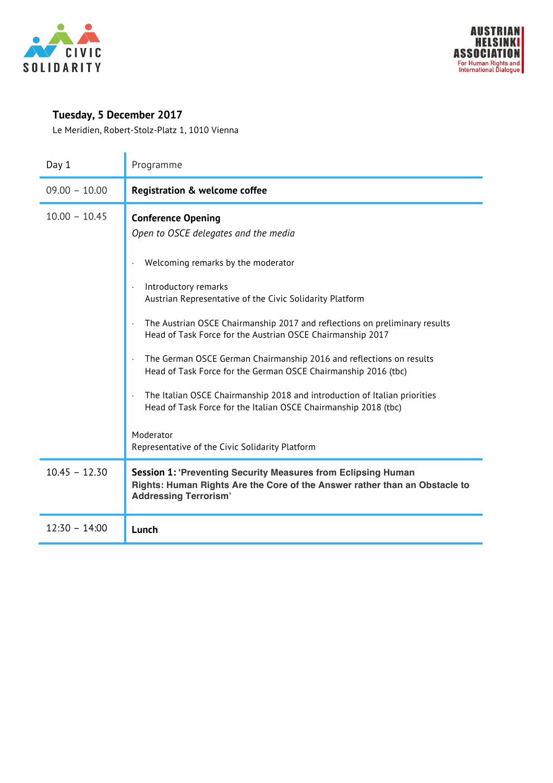

## **Tuesday, 5 December 2017**

Le Meridien, Robert-Stolz-Platz 1, 1010 Vienna

| Day 1           | Programme                                                                                                                                                                                                                                                                                                                                                                                                                                                                                                                                                     |
|-----------------|---------------------------------------------------------------------------------------------------------------------------------------------------------------------------------------------------------------------------------------------------------------------------------------------------------------------------------------------------------------------------------------------------------------------------------------------------------------------------------------------------------------------------------------------------------------|
| $09.00 - 10.00$ | <b>Registration &amp; welcome coffee</b>                                                                                                                                                                                                                                                                                                                                                                                                                                                                                                                      |
| $10.00 - 10.45$ | <b>Conference Opening</b><br>Open to OSCE delegates and the media<br>Welcoming remarks by the moderator<br>Introductory remarks<br>Austrian Representative of the Civic Solidarity Platform<br>The Austrian OSCE Chairmanship 2017 and reflections on preliminary results<br>Head of Task Force for the Austrian OSCE Chairmanship 2017<br>The German OSCE German Chairmanship 2016 and reflections on results<br>Head of Task Force for the German OSCE Chairmanship 2016 (tbc)<br>The Italian OSCE Chairmanship 2018 and introduction of Italian priorities |
| $10.45 - 12.30$ | Head of Task Force for the Italian OSCE Chairmanship 2018 (tbc)<br>Moderator<br>Representative of the Civic Solidarity Platform<br><b>Session 1: 'Preventing Security Measures from Eclipsing Human</b><br>Rights: Human Rights Are the Core of the Answer rather than an Obstacle to<br><b>Addressing Terrorism'</b>                                                                                                                                                                                                                                         |
| $12:30 - 14:00$ | Lunch                                                                                                                                                                                                                                                                                                                                                                                                                                                                                                                                                         |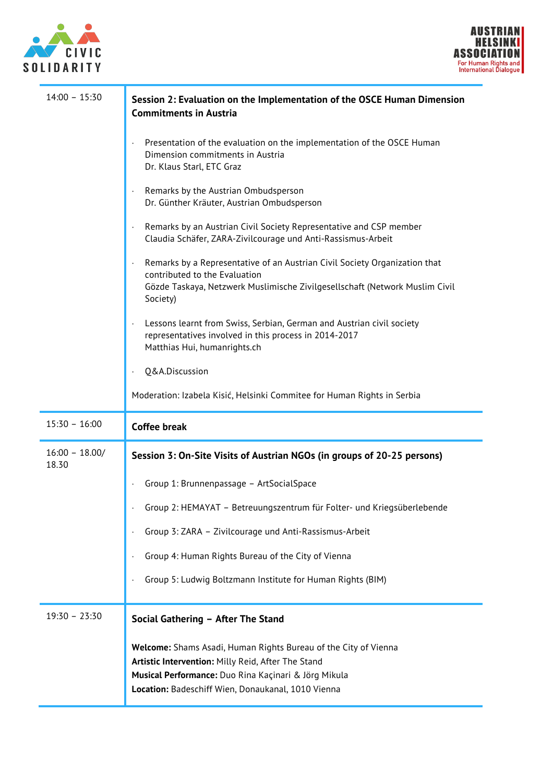



| $14:00 - 15:30$           | Session 2: Evaluation on the Implementation of the OSCE Human Dimension<br><b>Commitments in Austria</b>                                                                                               |
|---------------------------|--------------------------------------------------------------------------------------------------------------------------------------------------------------------------------------------------------|
|                           | Presentation of the evaluation on the implementation of the OSCE Human<br>Dimension commitments in Austria<br>Dr. Klaus Starl, ETC Graz                                                                |
|                           | Remarks by the Austrian Ombudsperson<br>Dr. Günther Kräuter, Austrian Ombudsperson                                                                                                                     |
|                           | Remarks by an Austrian Civil Society Representative and CSP member<br>Claudia Schäfer, ZARA-Zivilcourage und Anti-Rassismus-Arbeit                                                                     |
|                           | Remarks by a Representative of an Austrian Civil Society Organization that<br>contributed to the Evaluation<br>Gözde Taskaya, Netzwerk Muslimische Zivilgesellschaft (Network Muslim Civil<br>Society) |
|                           | Lessons learnt from Swiss, Serbian, German and Austrian civil society<br>representatives involved in this process in 2014-2017<br>Matthias Hui, humanrights.ch                                         |
|                           | Q&A.Discussion                                                                                                                                                                                         |
|                           | Moderation: Izabela Kisić, Helsinki Commitee for Human Rights in Serbia                                                                                                                                |
| $15:30 - 16:00$           | <b>Coffee break</b>                                                                                                                                                                                    |
| $16:00 - 18.00/$<br>18.30 | Session 3: On-Site Visits of Austrian NGOs (in groups of 20-25 persons)                                                                                                                                |
|                           | Group 1: Brunnenpassage - ArtSocialSpace                                                                                                                                                               |
|                           | Group 2: HEMAYAT - Betreuungszentrum für Folter- und Kriegsüberlebende                                                                                                                                 |
|                           | Group 3: ZARA - Zivilcourage und Anti-Rassismus-Arbeit                                                                                                                                                 |
|                           | Group 4: Human Rights Bureau of the City of Vienna                                                                                                                                                     |
|                           | Group 5: Ludwig Boltzmann Institute for Human Rights (BIM)                                                                                                                                             |
| $19:30 - 23:30$           | Social Gathering - After The Stand                                                                                                                                                                     |
|                           | Welcome: Shams Asadi, Human Rights Bureau of the City of Vienna<br>Artistic Intervention: Milly Reid, After The Stand                                                                                  |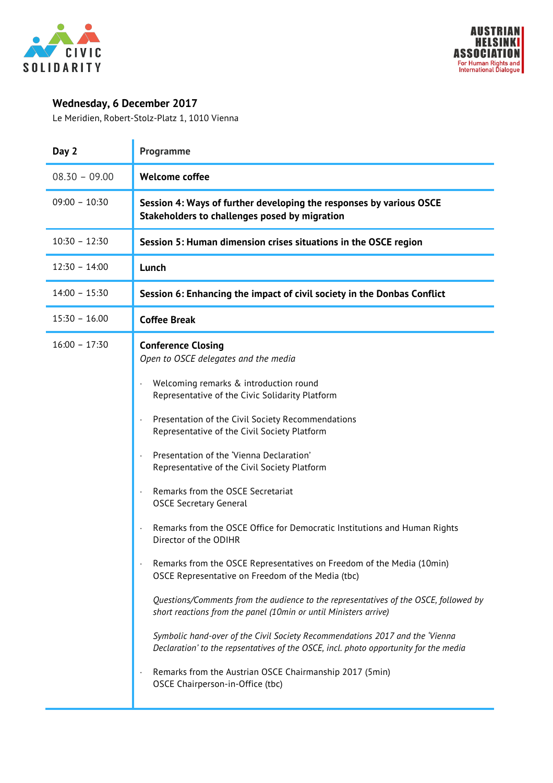



## **Wednesday, 6 December 2017**

Le Meridien, Robert-Stolz-Platz 1, 1010 Vienna

| Day 2           | Programme                                                                                                                                                                                                                                                                                                                                                                                                                                                                                                                                                                                                                                                                                                                                                                                                                                                                                                                                                                                                                                                                                                    |
|-----------------|--------------------------------------------------------------------------------------------------------------------------------------------------------------------------------------------------------------------------------------------------------------------------------------------------------------------------------------------------------------------------------------------------------------------------------------------------------------------------------------------------------------------------------------------------------------------------------------------------------------------------------------------------------------------------------------------------------------------------------------------------------------------------------------------------------------------------------------------------------------------------------------------------------------------------------------------------------------------------------------------------------------------------------------------------------------------------------------------------------------|
| $08.30 - 09.00$ | <b>Welcome coffee</b>                                                                                                                                                                                                                                                                                                                                                                                                                                                                                                                                                                                                                                                                                                                                                                                                                                                                                                                                                                                                                                                                                        |
| $09:00 - 10:30$ | Session 4: Ways of further developing the responses by various OSCE<br>Stakeholders to challenges posed by migration                                                                                                                                                                                                                                                                                                                                                                                                                                                                                                                                                                                                                                                                                                                                                                                                                                                                                                                                                                                         |
| $10:30 - 12:30$ | Session 5: Human dimension crises situations in the OSCE region                                                                                                                                                                                                                                                                                                                                                                                                                                                                                                                                                                                                                                                                                                                                                                                                                                                                                                                                                                                                                                              |
| $12:30 - 14:00$ | Lunch                                                                                                                                                                                                                                                                                                                                                                                                                                                                                                                                                                                                                                                                                                                                                                                                                                                                                                                                                                                                                                                                                                        |
| $14:00 - 15:30$ | Session 6: Enhancing the impact of civil society in the Donbas Conflict                                                                                                                                                                                                                                                                                                                                                                                                                                                                                                                                                                                                                                                                                                                                                                                                                                                                                                                                                                                                                                      |
| $15:30 - 16.00$ | <b>Coffee Break</b>                                                                                                                                                                                                                                                                                                                                                                                                                                                                                                                                                                                                                                                                                                                                                                                                                                                                                                                                                                                                                                                                                          |
| $16:00 - 17:30$ | <b>Conference Closing</b><br>Open to OSCE delegates and the media<br>Welcoming remarks & introduction round<br>Representative of the Civic Solidarity Platform<br>Presentation of the Civil Society Recommendations<br>Representative of the Civil Society Platform<br>Presentation of the 'Vienna Declaration'<br>Representative of the Civil Society Platform<br>Remarks from the OSCE Secretariat<br><b>OSCE Secretary General</b><br>Remarks from the OSCE Office for Democratic Institutions and Human Rights<br>Director of the ODIHR<br>Remarks from the OSCE Representatives on Freedom of the Media (10min)<br>OSCE Representative on Freedom of the Media (tbc)<br>Questions/Comments from the audience to the representatives of the OSCE, followed by<br>short reactions from the panel (10min or until Ministers arrive)<br>Symbolic hand-over of the Civil Society Recommendations 2017 and the 'Vienna<br>Declaration' to the repsentatives of the OSCE, incl. photo opportunity for the media<br>Remarks from the Austrian OSCE Chairmanship 2017 (5min)<br>OSCE Chairperson-in-Office (tbc) |